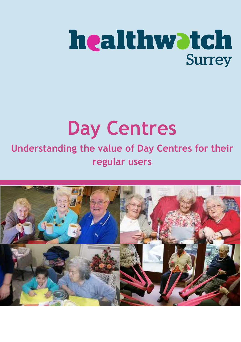# healthwatch

## **Day Centres**

## **Understanding the value of Day Centres for their regular users**

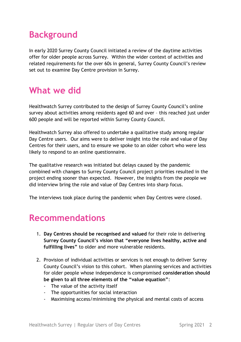## **Background**

In early 2020 Surrey County Council initiated a review of the daytime activities offer for older people across Surrey. Within the wider context of activities and related requirements for the over 60s in general, Surrey County Council's review set out to examine Day Centre provision in Surrey.

## **What we did**

Healthwatch Surrey contributed to the design of Surrey County Council's online survey about activities among residents aged 60 and over – this reached just under 600 people and will be reported within Surrey County Council.

Healthwatch Surrey also offered to undertake a qualitative study among regular Day Centre users. Our aims were to deliver insight into the role and value of Day Centres for their users, and to ensure we spoke to an older cohort who were less likely to respond to an online questionnaire.

The qualitative research was initiated but delays caused by the pandemic combined with changes to Surrey County Council project priorities resulted in the project ending sooner than expected. However, the insights from the people we did interview bring the role and value of Day Centres into sharp focus.

The interviews took place during the pandemic when Day Centres were closed.

### **Recommendations**

- 1. **Day Centres should be recognised and valued** for their role in delivering **Surrey County Council's vision that "everyone lives healthy, active and fulfilling lives"** to older and more vulnerable residents.
- 2. Provision of individual activities or services is not enough to deliver Surrey County Council's vision to this cohort. When planning services and activities for older people whose independence is compromised **consideration should be given to all three elements of the "value equation"**:
	- The value of the activity itself
	- The opportunities for social interaction
	- Maximising access/minimising the physical and mental costs of access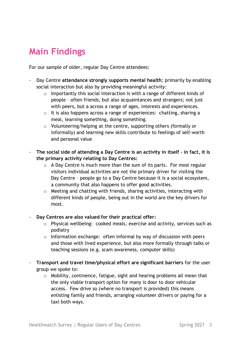## **Main Findings**

For our sample of older, regular Day Centre attendees:

- Day Centre **attendance strongly supports mental health**; primarily by enabling social interaction but also by providing meaningful activity:
	- o Importantly this social interaction is with a range of different kinds of people – often friends, but also acquaintances and strangers; not just with peers, but a across a range of ages, interests and experiences.
	- o It is also happens across a range of experiences: chatting, sharing a meal, learning something, doing something.
	- o Volunteering/helping at the centre, supporting others (formally or informally) and learning new skills contribute to feelings of self-worth and personal value
- **The social side of attending a Day Centre is an activity in itself – in fact, it is the primary activity relating to Day Centres:**
	- o A Day Centre is much more than the sum of its parts. For most regular visitors individual activities are not the primary driver for visiting the Day Centre – people go to a Day Centre because it is a social ecosystem, a community that also happens to offer good activities.
	- o Meeting and chatting with friends, sharing activities, interacting with different kinds of people, being out in the world are the key drivers for most.
- **Day Centres are also valued for their practical offer:**
	- o Physical wellbeing: cooked meals, exercise and activity, services such as podiatry
	- $\circ$  Information exchange: often informal by way of discussion with peers and those with lived experience, but also more formally through talks or teaching sessions (e.g. scam awareness, computer skills)
- **Transport and travel time/physical effort are significant barriers** for the user group we spoke to:
	- o Mobility, continence, fatigue, sight and hearing problems all mean that the only viable transport option for many is door to door vehicular access. Few drive so (where no transport is provided) this means enlisting family and friends, arranging volunteer drivers or paying for a taxi both ways.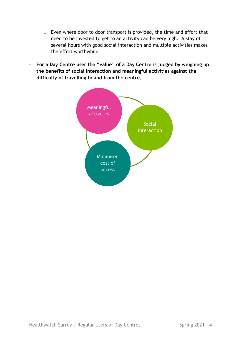- o Even where door to door transport is provided, the time and effort that need to be invested to get to an activity can be very high. A stay of several hours with good social interaction and multiple activities makes the effort worthwhile.
- **For a Day Centre user the "value" of a Day Centre is judged by weighing up the benefits of social interaction and meaningful activities against the difficulty of travelling to and from the centre.**

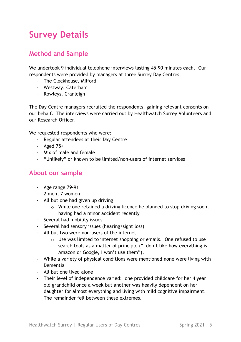## **Survey Details**

#### **Method and Sample**

We undertook 9 individual telephone interviews lasting 45-90 minutes each. Our respondents were provided by managers at three Surrey Day Centres:

- The Clockhouse, Milford
- Westway, Caterham
- Rowleys, Cranleigh

The Day Centre managers recruited the respondents, gaining relevant consents on our behalf. The interviews were carried out by Healthwatch Surrey Volunteers and our Research Officer.

We requested respondents who were:

- Regular attendees at their Day Centre
- Aged 75+
- Mix of male and female
- "Unlikely" or known to be limited/non-users of internet services

#### **About our sample**

- Age range 79-91
- 2 men, 7 women
- All but one had given up driving
	- o While one retained a driving licence he planned to stop driving soon, having had a minor accident recently
- Several had mobility issues
- Several had sensory issues (hearing/sight loss)
- All but two were non-users of the internet
	- $\circ$  Use was limited to internet shopping or emails. One refused to use search tools as a matter of principle ("I don't like how everything is Amazon or Google, I won't use them").
- While a variety of physical conditions were mentioned none were living with Dementia
- All but one lived alone
- Their level of independence varied: one provided childcare for her 4 year old grandchild once a week but another was heavily dependent on her daughter for almost everything and living with mild cognitive impairment. The remainder fell between these extremes.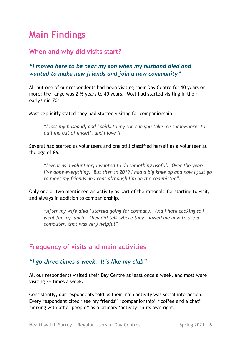## **Main Findings**

#### **When and why did visits start?**

#### *"I moved here to be near my son when my husband died and wanted to make new friends and join a new community"*

All but one of our respondents had been visiting their Day Centre for 10 years or more: the range was 2  $\frac{1}{2}$  years to 40 years. Most had started visiting in their early/mid 70s.

Most explicitly stated they had started visiting for companionship.

*"I lost my husband, and I said…to my son can you take me somewhere, to pull me out of myself, and I love it"*

Several had started as volunteers and one still classified herself as a volunteer at the age of 86.

*"I went as a volunteer, I wanted to do something useful. Over the years I've done everything. But then in 2019 I had a big knee op and now I just go to meet my friends and chat although I'm on the committee".*

Only one or two mentioned an activity as part of the rationale for starting to visit, and always in addition to companionship.

*"After my wife died I started going for company. And I hate cooking so I went for my lunch. They did talk where they showed me how to use a computer, that was very helpful"*

#### **Frequency of visits and main activities**

#### *"I go three times a week. It's like my club"*

All our respondents visited their Day Centre at least once a week, and most were visiting 3+ times a week.

Consistently, our respondents told us their main activity was social interaction. Every respondent cited "see my friends" "companionship" "coffee and a chat" "mixing with other people" as a primary 'activity' in its own right.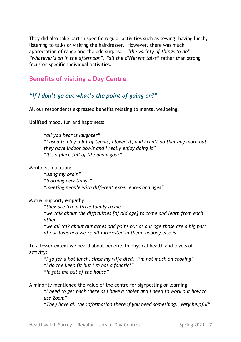They did also take part in specific regular activities such as sewing, having lunch, listening to talks or visiting the hairdresser. However, there was much appreciation of range and the odd surprise – *"the variety of things to do", "whatever's on in the afternoon", "all the different talks"* rather than strong focus on specific individual activities.

#### **Benefits of visiting a Day Centre**

#### *"If I don't go out what's the point of going on?"*

All our respondents expressed benefits relating to mental wellbeing.

Uplifted mood, fun and happiness:

*"all you hear is laughter" "I used to play a lot of tennis, I loved it, and I can't do that any more but they have indoor bowls and I really enjoy doing it" "It's a place full of life and vigour"*

Mental stimulation:

*"using my brain" "learning new things" "meeting people with different experiences and ages"*

Mutual support, empathy:

*"they are like a little family to me" "we talk about the difficulties [of old age] to come and learn from each other"* 

*"we all talk about our aches and pains but at our age those are a big part of our lives and we're all interested in them, nobody else is"*

To a lesser extent we heard about benefits to physical health and levels of activity:

*"I go for a hot lunch, since my wife died. I'm not much on cooking" "I do the keep fit but I'm not a fanatic!" "it gets me out of the house"*

A minority mentioned the value of the centre for signposting or learning:

*"I need to get back there as I have a tablet and I need to work out how to use Zoom"*

*"They have all the information there if you need something. Very helpful"*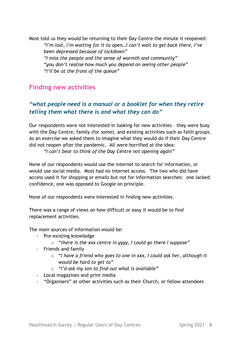Most told us they would be returning to their Day Centre the minute it reopened: *"I'm lost, I'm waiting for it to open…I can't wait to get back there, I've been depressed because of lockdown" "I miss the people and the sense of warmth and community" "you don't realise how much you depend on seeing other people" "I'll be at the front of the queue"*

#### **Finding new activities**

#### *"what people need is a manual or a booklet for when they retire telling them what there is and what they can do"*

Our respondents were not interested in looking for new activities – they were busy with the Day Centre, family (for some), and existing activities such as faith groups. As an exercise we asked them to imagine what they would do if their Day Centre did not reopen after the pandemic. All were horrified at the idea:

*"I can't bear to think of the Day Centre not opening again"*

None of our respondents would use the internet to search for information, or would use social media. Most had no internet access. The two who did have access used it for shopping or emails but not for information searches: one lacked confidence, one was opposed to Google on principle.

None of our respondents were interested in finding new activities.

There was a range of views on how difficult or easy it would be to find replacement activities.

The main sources of information would be:

- Pre-existing knowledge
	- o "*there is the xxx centre in yyyy, I could go there I suppose"*
- Friends and family
	- o "*I have a friend who goes to one in xxx, I could ask her, although it would be hard to get to"*
	- o *"I'd ask my son to find out what is available"*
- Local magazines and print media
- "Organisers" at other activities such as their Church, or fellow attendees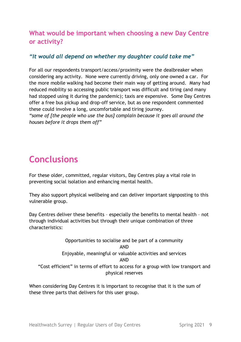#### **What would be important when choosing a new Day Centre or activity?**

#### *"It would all depend on whether my daughter could take me"*

For all our respondents transport/access/proximity were the dealbreaker when considering any activity. None were currently driving, only one owned a car. For the more mobile walking had become their main way of getting around. Many had reduced mobility so accessing public transport was difficult and tiring (and many had stopped using it during the pandemic); taxis are expensive. Some Day Centres offer a free bus pickup and drop-off service, but as one respondent commented these could involve a long, uncomfortable and tiring journey.

*"some of [the people who use the bus] complain because it goes all around the houses before it drops them off"*

## **Conclusions**

For these older, committed, regular visitors, Day Centres play a vital role in preventing social isolation and enhancing mental health.

They also support physical wellbeing and can deliver important signposting to this vulnerable group.

Day Centres deliver these benefits – especially the benefits to mental health – not through individual activities but through their unique combination of three characteristics:

Opportunities to socialise and be part of a community AND Enjoyable, meaningful or valuable activities and services AND "Cost efficient" in terms of effort to access for a group with low transport and physical reserves

When considering Day Centres it is important to recognise that it is the sum of these three parts that delivers for this user group.